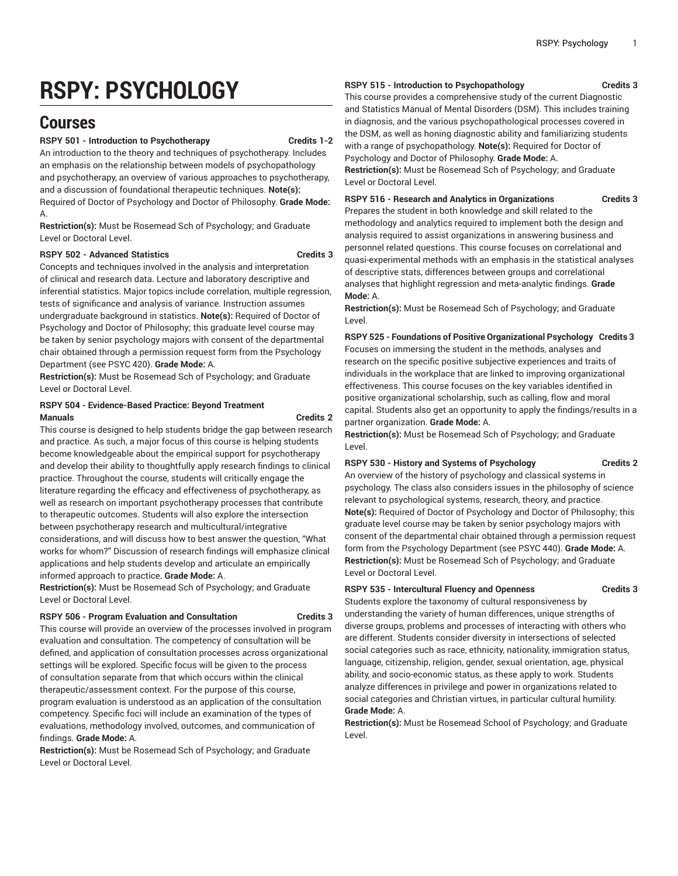# **RSPY: PSYCHOLOGY**

## **Courses**

#### **RSPY 501 - Introduction to Psychotherapy Credits 1-2**

An introduction to the theory and techniques of psychotherapy. Includes an emphasis on the relationship between models of psychopathology and psychotherapy, an overview of various approaches to psychotherapy, and a discussion of foundational therapeutic techniques. **Note(s):** Required of Doctor of Psychology and Doctor of Philosophy. **Grade Mode:** A.

**Restriction(s):** Must be Rosemead Sch of Psychology; and Graduate Level or Doctoral Level.

#### **RSPY 502 - Advanced Statistics Credits 3**

Concepts and techniques involved in the analysis and interpretation of clinical and research data. Lecture and laboratory descriptive and inferential statistics. Major topics include correlation, multiple regression, tests of significance and analysis of variance. Instruction assumes undergraduate background in statistics. **Note(s):** Required of Doctor of Psychology and Doctor of Philosophy; this graduate level course may be taken by senior psychology majors with consent of the departmental chair obtained through a permission request form from the Psychology Department (see PSYC 420). **Grade Mode:** A.

**Restriction(s):** Must be Rosemead Sch of Psychology; and Graduate Level or Doctoral Level.

#### **RSPY 504 - Evidence-Based Practice: Beyond Treatment Manuals Credits 2**

This course is designed to help students bridge the gap between research and practice. As such, a major focus of this course is helping students become knowledgeable about the empirical support for psychotherapy and develop their ability to thoughtfully apply research findings to clinical practice. Throughout the course, students will critically engage the literature regarding the efficacy and effectiveness of psychotherapy, as well as research on important psychotherapy processes that contribute to therapeutic outcomes. Students will also explore the intersection between psychotherapy research and multicultural/integrative considerations, and will discuss how to best answer the question, "What works for whom?" Discussion of research findings will emphasize clinical applications and help students develop and articulate an empirically informed approach to practice. **Grade Mode:** A.

**Restriction(s):** Must be Rosemead Sch of Psychology; and Graduate Level or Doctoral Level.

#### **RSPY 506 - Program Evaluation and Consultation Credits 3**

This course will provide an overview of the processes involved in program evaluation and consultation. The competency of consultation will be defined, and application of consultation processes across organizational settings will be explored. Specific focus will be given to the process of consultation separate from that which occurs within the clinical therapeutic/assessment context. For the purpose of this course, program evaluation is understood as an application of the consultation competency. Specific foci will include an examination of the types of evaluations, methodology involved, outcomes, and communication of findings. **Grade Mode:** A.

**Restriction(s):** Must be Rosemead Sch of Psychology; and Graduate Level or Doctoral Level.

#### **RSPY 515 - Introduction to Psychopathology Credits 3**

This course provides a comprehensive study of the current Diagnostic and Statistics Manual of Mental Disorders (DSM). This includes training in diagnosis, and the various psychopathological processes covered in the DSM, as well as honing diagnostic ability and familiarizing students with a range of psychopathology. **Note(s):** Required for Doctor of Psychology and Doctor of Philosophy. **Grade Mode:** A.

**Restriction(s):** Must be Rosemead Sch of Psychology; and Graduate Level or Doctoral Level.

**RSPY 516 - Research and Analytics in Organizations Credits 3**

Prepares the student in both knowledge and skill related to the methodology and analytics required to implement both the design and analysis required to assist organizations in answering business and personnel related questions. This course focuses on correlational and quasi-experimental methods with an emphasis in the statistical analyses of descriptive stats, differences between groups and correlational analyses that highlight regression and meta-analytic findings. **Grade Mode:** A.

**Restriction(s):** Must be Rosemead Sch of Psychology; and Graduate Level.

**RSPY 525 - Foundations of Positive Organizational Psychology Credits 3** Focuses on immersing the student in the methods, analyses and research on the specific positive subjective experiences and traits of individuals in the workplace that are linked to improving organizational effectiveness. This course focuses on the key variables identified in positive organizational scholarship, such as calling, flow and moral capital. Students also get an opportunity to apply the findings/results in a partner organization. **Grade Mode:** A.

**Restriction(s):** Must be Rosemead Sch of Psychology; and Graduate Level.

#### **RSPY 530 - History and Systems of Psychology Credits 2**

An overview of the history of psychology and classical systems in psychology. The class also considers issues in the philosophy of science relevant to psychological systems, research, theory, and practice. **Note(s):** Required of Doctor of Psychology and Doctor of Philosophy; this graduate level course may be taken by senior psychology majors with consent of the departmental chair obtained through a permission request form from the Psychology Department (see PSYC 440). **Grade Mode:** A. **Restriction(s):** Must be Rosemead Sch of Psychology; and Graduate Level or Doctoral Level.

#### **RSPY 535 - Intercultural Fluency and Openness Credits 3**

Students explore the taxonomy of cultural responsiveness by understanding the variety of human differences, unique strengths of diverse groups, problems and processes of interacting with others who are different. Students consider diversity in intersections of selected social categories such as race, ethnicity, nationality, immigration status, language, citizenship, religion, gender, sexual orientation, age, physical ability, and socio-economic status, as these apply to work. Students analyze differences in privilege and power in organizations related to social categories and Christian virtues, in particular cultural humility. **Grade Mode:** A.

**Restriction(s):** Must be Rosemead School of Psychology; and Graduate Level.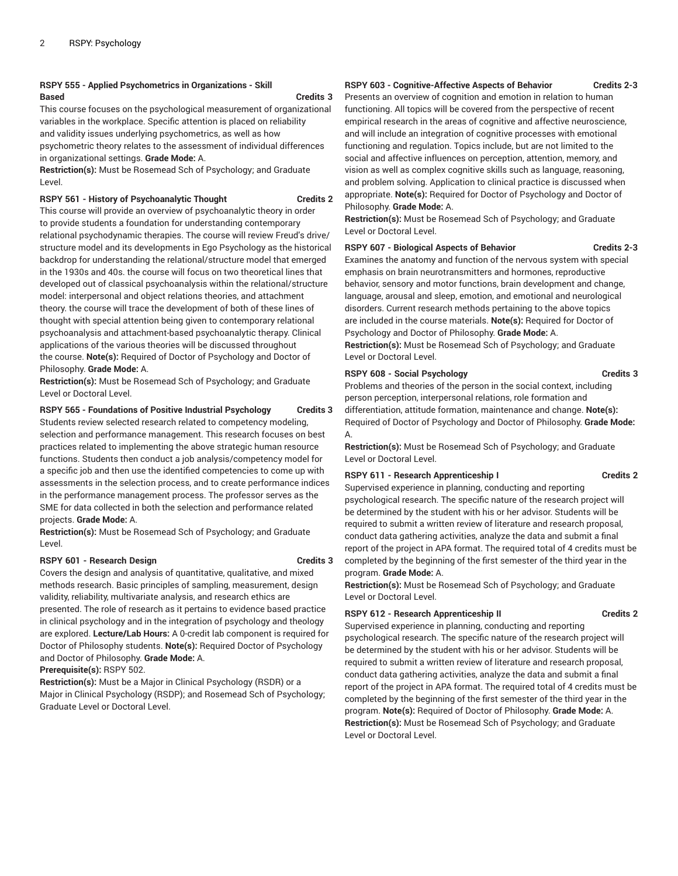#### **RSPY 555 - Applied Psychometrics in Organizations - Skill Based Credits 3**

This course focuses on the psychological measurement of organizational variables in the workplace. Specific attention is placed on reliability and validity issues underlying psychometrics, as well as how psychometric theory relates to the assessment of individual differences in organizational settings. **Grade Mode:** A.

**Restriction(s):** Must be Rosemead Sch of Psychology; and Graduate Level.

#### **RSPY 561 - History of Psychoanalytic Thought Credits 2**

This course will provide an overview of psychoanalytic theory in order to provide students a foundation for understanding contemporary relational psychodynamic therapies. The course will review Freud's drive/ structure model and its developments in Ego Psychology as the historical backdrop for understanding the relational/structure model that emerged in the 1930s and 40s. the course will focus on two theoretical lines that developed out of classical psychoanalysis within the relational/structure model: interpersonal and object relations theories, and attachment theory. the course will trace the development of both of these lines of thought with special attention being given to contemporary relational psychoanalysis and attachment-based psychoanalytic therapy. Clinical applications of the various theories will be discussed throughout the course. **Note(s):** Required of Doctor of Psychology and Doctor of Philosophy. **Grade Mode:** A.

**Restriction(s):** Must be Rosemead Sch of Psychology; and Graduate Level or Doctoral Level.

#### **RSPY 565 - Foundations of Positive Industrial Psychology Credits 3**

Students review selected research related to competency modeling, selection and performance management. This research focuses on best practices related to implementing the above strategic human resource functions. Students then conduct a job analysis/competency model for a specific job and then use the identified competencies to come up with assessments in the selection process, and to create performance indices in the performance management process. The professor serves as the SME for data collected in both the selection and performance related projects. **Grade Mode:** A.

**Restriction(s):** Must be Rosemead Sch of Psychology; and Graduate Level.

#### **RSPY 601 - Research Design <b>Credits 3**

Covers the design and analysis of quantitative, qualitative, and mixed methods research. Basic principles of sampling, measurement, design validity, reliability, multivariate analysis, and research ethics are presented. The role of research as it pertains to evidence based practice in clinical psychology and in the integration of psychology and theology are explored. **Lecture/Lab Hours:** A 0-credit lab component is required for Doctor of Philosophy students. **Note(s):** Required Doctor of Psychology and Doctor of Philosophy. **Grade Mode:** A.

**Prerequisite(s):** RSPY 502.

**Restriction(s):** Must be a Major in Clinical Psychology (RSDR) or a Major in Clinical Psychology (RSDP); and Rosemead Sch of Psychology; Graduate Level or Doctoral Level.

### **RSPY 603 - Cognitive-Affective Aspects of Behavior Credits 2-3**

Presents an overview of cognition and emotion in relation to human functioning. All topics will be covered from the perspective of recent empirical research in the areas of cognitive and affective neuroscience, and will include an integration of cognitive processes with emotional functioning and regulation. Topics include, but are not limited to the social and affective influences on perception, attention, memory, and vision as well as complex cognitive skills such as language, reasoning, and problem solving. Application to clinical practice is discussed when appropriate. **Note(s):** Required for Doctor of Psychology and Doctor of Philosophy. **Grade Mode:** A.

**Restriction(s):** Must be Rosemead Sch of Psychology; and Graduate Level or Doctoral Level.

### **RSPY 607 - Biological Aspects of Behavior Credits 2-3**

Examines the anatomy and function of the nervous system with special emphasis on brain neurotransmitters and hormones, reproductive behavior, sensory and motor functions, brain development and change, language, arousal and sleep, emotion, and emotional and neurological disorders. Current research methods pertaining to the above topics are included in the course materials. **Note(s):** Required for Doctor of Psychology and Doctor of Philosophy. **Grade Mode:** A.

**Restriction(s):** Must be Rosemead Sch of Psychology; and Graduate Level or Doctoral Level.

#### **RSPY 608 - Social Psychology Credits 3**

Problems and theories of the person in the social context, including person perception, interpersonal relations, role formation and differentiation, attitude formation, maintenance and change. **Note(s):** Required of Doctor of Psychology and Doctor of Philosophy. **Grade Mode:** A.

**Restriction(s):** Must be Rosemead Sch of Psychology; and Graduate Level or Doctoral Level.

#### **RSPY 611 - Research Apprenticeship I Credits 2**

Supervised experience in planning, conducting and reporting psychological research. The specific nature of the research project will be determined by the student with his or her advisor. Students will be required to submit a written review of literature and research proposal, conduct data gathering activities, analyze the data and submit a final report of the project in APA format. The required total of 4 credits must be completed by the beginning of the first semester of the third year in the program. **Grade Mode:** A.

**Restriction(s):** Must be Rosemead Sch of Psychology; and Graduate Level or Doctoral Level.

#### **RSPY 612 - Research Apprenticeship II Credits 2**

Supervised experience in planning, conducting and reporting psychological research. The specific nature of the research project will be determined by the student with his or her advisor. Students will be required to submit a written review of literature and research proposal, conduct data gathering activities, analyze the data and submit a final report of the project in APA format. The required total of 4 credits must be completed by the beginning of the first semester of the third year in the program. **Note(s):** Required of Doctor of Philosophy. **Grade Mode:** A. **Restriction(s):** Must be Rosemead Sch of Psychology; and Graduate Level or Doctoral Level.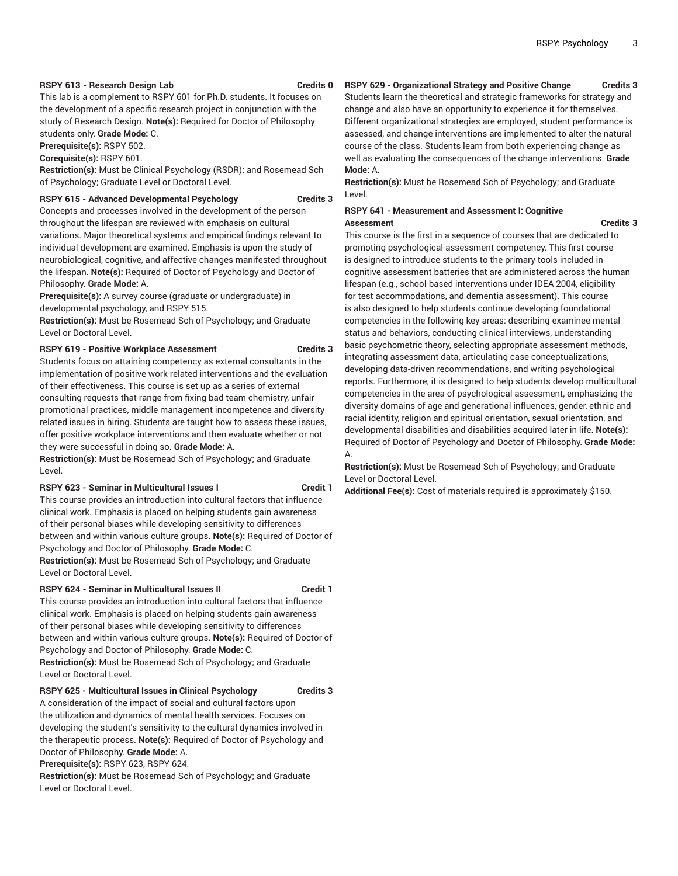#### **RSPY 613 - Research Design Lab Credits 0**

This lab is a complement to RSPY 601 for Ph.D. students. It focuses on the development of a specific research project in conjunction with the study of Research Design. **Note(s):** Required for Doctor of Philosophy students only. **Grade Mode:** C.

**Prerequisite(s):** RSPY 502.

**Corequisite(s):** RSPY 601.

**Restriction(s):** Must be Clinical Psychology (RSDR); and Rosemead Sch of Psychology; Graduate Level or Doctoral Level.

#### **RSPY 615 - Advanced Developmental Psychology Credits 3**

Concepts and processes involved in the development of the person throughout the lifespan are reviewed with emphasis on cultural variations. Major theoretical systems and empirical findings relevant to individual development are examined. Emphasis is upon the study of neurobiological, cognitive, and affective changes manifested throughout the lifespan. **Note(s):** Required of Doctor of Psychology and Doctor of Philosophy. **Grade Mode:** A.

**Prerequisite(s):** A survey course (graduate or undergraduate) in developmental psychology, and RSPY 515.

**Restriction(s):** Must be Rosemead Sch of Psychology; and Graduate Level or Doctoral Level.

#### **RSPY 619 - Positive Workplace Assessment Credits 3**

Students focus on attaining competency as external consultants in the implementation of positive work-related interventions and the evaluation of their effectiveness. This course is set up as a series of external consulting requests that range from fixing bad team chemistry, unfair promotional practices, middle management incompetence and diversity related issues in hiring. Students are taught how to assess these issues, offer positive workplace interventions and then evaluate whether or not they were successful in doing so. **Grade Mode:** A.

**Restriction(s):** Must be Rosemead Sch of Psychology; and Graduate Level.

#### **RSPY 623 - Seminar in Multicultural Issues I Credit 1**

This course provides an introduction into cultural factors that influence clinical work. Emphasis is placed on helping students gain awareness of their personal biases while developing sensitivity to differences between and within various culture groups. **Note(s):** Required of Doctor of Psychology and Doctor of Philosophy. **Grade Mode:** C.

**Restriction(s):** Must be Rosemead Sch of Psychology; and Graduate Level or Doctoral Level.

#### **RSPY 624 - Seminar in Multicultural Issues II Credit 1**

This course provides an introduction into cultural factors that influence clinical work. Emphasis is placed on helping students gain awareness of their personal biases while developing sensitivity to differences between and within various culture groups. **Note(s):** Required of Doctor of Psychology and Doctor of Philosophy. **Grade Mode:** C. **Restriction(s):** Must be Rosemead Sch of Psychology; and Graduate

#### **RSPY 625 - Multicultural Issues in Clinical Psychology Credits 3**

A consideration of the impact of social and cultural factors upon the utilization and dynamics of mental health services. Focuses on developing the student's sensitivity to the cultural dynamics involved in the therapeutic process. **Note(s):** Required of Doctor of Psychology and Doctor of Philosophy. **Grade Mode:** A.

**Prerequisite(s):** RSPY 623, RSPY 624.

Level or Doctoral Level.

**Restriction(s):** Must be Rosemead Sch of Psychology; and Graduate Level or Doctoral Level.

### **RSPY 629 - Organizational Strategy and Positive Change Credits 3**

Students learn the theoretical and strategic frameworks for strategy and change and also have an opportunity to experience it for themselves. Different organizational strategies are employed, student performance is assessed, and change interventions are implemented to alter the natural course of the class. Students learn from both experiencing change as well as evaluating the consequences of the change interventions. **Grade Mode:** A.

**Restriction(s):** Must be Rosemead Sch of Psychology; and Graduate Level.

#### **RSPY 641 - Measurement and Assessment I: Cognitive Assessment Credits 3**

This course is the first in a sequence of courses that are dedicated to promoting psychological-assessment competency. This first course is designed to introduce students to the primary tools included in cognitive assessment batteries that are administered across the human lifespan (e.g., school-based interventions under IDEA 2004, eligibility for test accommodations, and dementia assessment). This course is also designed to help students continue developing foundational competencies in the following key areas: describing examinee mental status and behaviors, conducting clinical interviews, understanding basic psychometric theory, selecting appropriate assessment methods, integrating assessment data, articulating case conceptualizations, developing data-driven recommendations, and writing psychological reports. Furthermore, it is designed to help students develop multicultural competencies in the area of psychological assessment, emphasizing the diversity domains of age and generational influences, gender, ethnic and racial identity, religion and spiritual orientation, sexual orientation, and developmental disabilities and disabilities acquired later in life. **Note(s):** Required of Doctor of Psychology and Doctor of Philosophy. **Grade Mode:** A.

**Restriction(s):** Must be Rosemead Sch of Psychology; and Graduate Level or Doctoral Level.

**Additional Fee(s):** Cost of materials required is approximately \$150.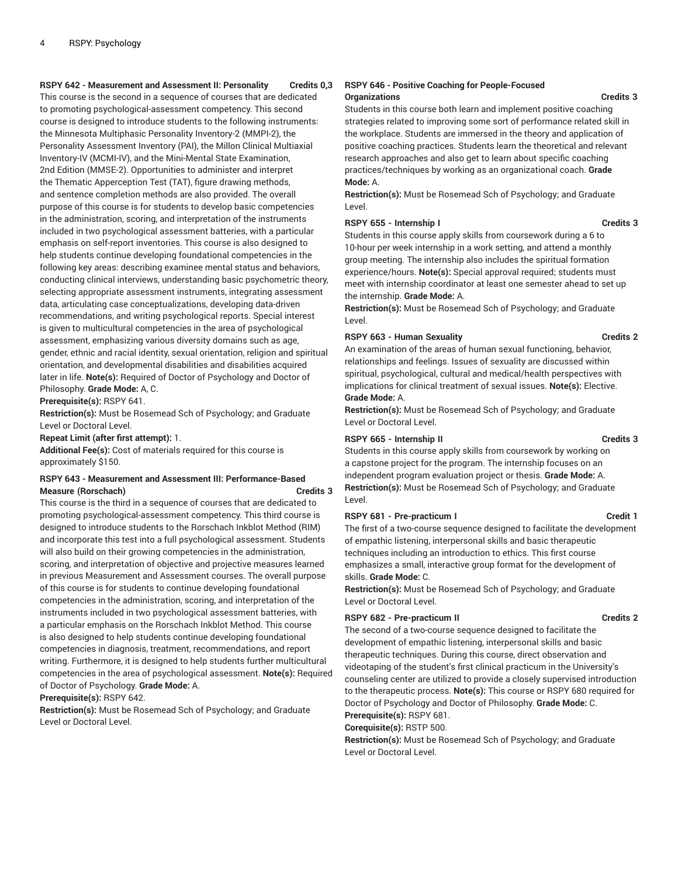#### **RSPY 642 - Measurement and Assessment II: Personality Credits 0,3**

This course is the second in a sequence of courses that are dedicated to promoting psychological-assessment competency. This second course is designed to introduce students to the following instruments: the Minnesota Multiphasic Personality Inventory-2 (MMPI-2), the Personality Assessment Inventory (PAI), the Millon Clinical Multiaxial Inventory-IV (MCMI-IV), and the Mini-Mental State Examination, 2nd Edition (MMSE-2). Opportunities to administer and interpret the Thematic Apperception Test (TAT), figure drawing methods, and sentence completion methods are also provided. The overall purpose of this course is for students to develop basic competencies in the administration, scoring, and interpretation of the instruments included in two psychological assessment batteries, with a particular emphasis on self-report inventories. This course is also designed to help students continue developing foundational competencies in the following key areas: describing examinee mental status and behaviors, conducting clinical interviews, understanding basic psychometric theory, selecting appropriate assessment instruments, integrating assessment data, articulating case conceptualizations, developing data-driven recommendations, and writing psychological reports. Special interest is given to multicultural competencies in the area of psychological assessment, emphasizing various diversity domains such as age, gender, ethnic and racial identity, sexual orientation, religion and spiritual orientation, and developmental disabilities and disabilities acquired later in life. **Note(s):** Required of Doctor of Psychology and Doctor of Philosophy. **Grade Mode:** A, C.

**Prerequisite(s):** RSPY 641.

**Restriction(s):** Must be Rosemead Sch of Psychology; and Graduate Level or Doctoral Level.

#### **Repeat Limit (after first attempt):** 1.

**Additional Fee(s):** Cost of materials required for this course is approximately \$150.

#### **RSPY 643 - Measurement and Assessment III: Performance-Based Measure (Rorschach) Credits 3**

This course is the third in a sequence of courses that are dedicated to promoting psychological-assessment competency. This third course is designed to introduce students to the Rorschach Inkblot Method (RIM) and incorporate this test into a full psychological assessment. Students will also build on their growing competencies in the administration, scoring, and interpretation of objective and projective measures learned in previous Measurement and Assessment courses. The overall purpose of this course is for students to continue developing foundational competencies in the administration, scoring, and interpretation of the instruments included in two psychological assessment batteries, with a particular emphasis on the Rorschach Inkblot Method. This course is also designed to help students continue developing foundational competencies in diagnosis, treatment, recommendations, and report writing. Furthermore, it is designed to help students further multicultural competencies in the area of psychological assessment. **Note(s):** Required of Doctor of Psychology. **Grade Mode:** A.

**Prerequisite(s):** RSPY 642.

**Restriction(s):** Must be Rosemead Sch of Psychology; and Graduate Level or Doctoral Level.

#### **RSPY 646 - Positive Coaching for People-Focused Organizations Credits 3**

Students in this course both learn and implement positive coaching strategies related to improving some sort of performance related skill in the workplace. Students are immersed in the theory and application of positive coaching practices. Students learn the theoretical and relevant research approaches and also get to learn about specific coaching practices/techniques by working as an organizational coach. **Grade Mode:** A.

**Restriction(s):** Must be Rosemead Sch of Psychology; and Graduate Level.

#### **RSPY 655 - Internship I Credits 3**

Students in this course apply skills from coursework during a 6 to 10-hour per week internship in a work setting, and attend a monthly group meeting. The internship also includes the spiritual formation experience/hours. **Note(s):** Special approval required; students must meet with internship coordinator at least one semester ahead to set up the internship. **Grade Mode:** A.

**Restriction(s):** Must be Rosemead Sch of Psychology; and Graduate Level.

#### **RSPY 663 - Human Sexuality Credits 2**

An examination of the areas of human sexual functioning, behavior, relationships and feelings. Issues of sexuality are discussed within spiritual, psychological, cultural and medical/health perspectives with implications for clinical treatment of sexual issues. **Note(s):** Elective. **Grade Mode:** A.

**Restriction(s):** Must be Rosemead Sch of Psychology; and Graduate Level or Doctoral Level.

#### **RSPY 665 - Internship II Credits 3**

Students in this course apply skills from coursework by working on a capstone project for the program. The internship focuses on an independent program evaluation project or thesis. **Grade Mode:** A. **Restriction(s):** Must be Rosemead Sch of Psychology; and Graduate Level.

#### **RSPY 681 - Pre-practicum I Credit 1**

The first of a two-course sequence designed to facilitate the development of empathic listening, interpersonal skills and basic therapeutic techniques including an introduction to ethics. This first course emphasizes a small, interactive group format for the development of skills. **Grade Mode:** C.

**Restriction(s):** Must be Rosemead Sch of Psychology; and Graduate Level or Doctoral Level.

#### **RSPY 682 - Pre-practicum II Credits 2**

The second of a two-course sequence designed to facilitate the development of empathic listening, interpersonal skills and basic therapeutic techniques. During this course, direct observation and videotaping of the student's first clinical practicum in the University's counseling center are utilized to provide a closely supervised introduction to the therapeutic process. **Note(s):** This course or RSPY 680 required for Doctor of Psychology and Doctor of Philosophy. **Grade Mode:** C.

**Prerequisite(s):** RSPY 681.

### **Corequisite(s):** RSTP 500.

**Restriction(s):** Must be Rosemead Sch of Psychology; and Graduate Level or Doctoral Level.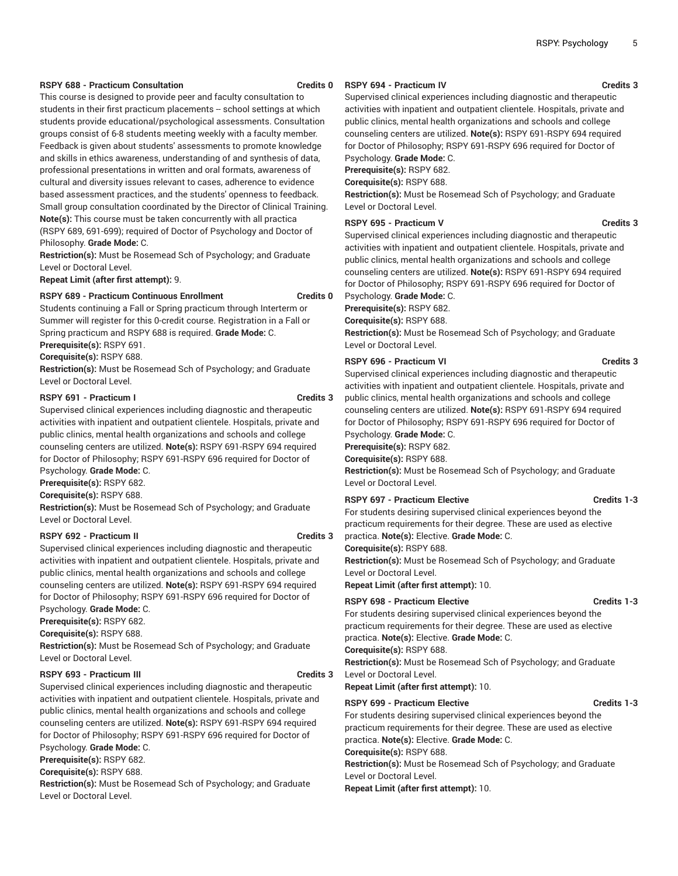#### **RSPY 688 - Practicum Consultation Credits 0**

This course is designed to provide peer and faculty consultation to students in their first practicum placements -- school settings at which students provide educational/psychological assessments. Consultation groups consist of 6-8 students meeting weekly with a faculty member. Feedback is given about students' assessments to promote knowledge and skills in ethics awareness, understanding of and synthesis of data, professional presentations in written and oral formats, awareness of cultural and diversity issues relevant to cases, adherence to evidence based assessment practices, and the students' openness to feedback. Small group consultation coordinated by the Director of Clinical Training. **Note(s):** This course must be taken concurrently with all practica (RSPY 689, 691-699); required of Doctor of Psychology and Doctor of Philosophy. **Grade Mode:** C.

**Restriction(s):** Must be Rosemead Sch of Psychology; and Graduate Level or Doctoral Level.

**Repeat Limit (after first attempt):** 9.

### **RSPY 689 - Practicum Continuous Enrollment Credits 0**

Students continuing a Fall or Spring practicum through Interterm or Summer will register for this 0-credit course. Registration in a Fall or Spring practicum and RSPY 688 is required. **Grade Mode:** C.

**Prerequisite(s):** RSPY 691.

**Corequisite(s):** RSPY 688.

**Restriction(s):** Must be Rosemead Sch of Psychology; and Graduate Level or Doctoral Level.

#### **RSPY 691 - Practicum I Credits 3**

Supervised clinical experiences including diagnostic and therapeutic activities with inpatient and outpatient clientele. Hospitals, private and public clinics, mental health organizations and schools and college counseling centers are utilized. **Note(s):** RSPY 691-RSPY 694 required for Doctor of Philosophy; RSPY 691-RSPY 696 required for Doctor of

Psychology. **Grade Mode:** C.

**Prerequisite(s):** RSPY 682.

**Corequisite(s):** RSPY 688.

**Restriction(s):** Must be Rosemead Sch of Psychology; and Graduate Level or Doctoral Level.

#### **RSPY 692 - Practicum II Credits 3**

Supervised clinical experiences including diagnostic and therapeutic activities with inpatient and outpatient clientele. Hospitals, private and public clinics, mental health organizations and schools and college counseling centers are utilized. **Note(s):** RSPY 691-RSPY 694 required for Doctor of Philosophy; RSPY 691-RSPY 696 required for Doctor of Psychology. **Grade Mode:** C.

**Prerequisite(s):** RSPY 682.

**Corequisite(s):** RSPY 688.

**Restriction(s):** Must be Rosemead Sch of Psychology; and Graduate Level or Doctoral Level.

#### **RSPY 693 - Practicum III Credits 3**

Supervised clinical experiences including diagnostic and therapeutic activities with inpatient and outpatient clientele. Hospitals, private and public clinics, mental health organizations and schools and college counseling centers are utilized. **Note(s):** RSPY 691-RSPY 694 required for Doctor of Philosophy; RSPY 691-RSPY 696 required for Doctor of Psychology. **Grade Mode:** C.

**Prerequisite(s):** RSPY 682.

**Corequisite(s):** RSPY 688.

**Restriction(s):** Must be Rosemead Sch of Psychology; and Graduate Level or Doctoral Level.

#### **RSPY 694 - Practicum IV Credits 3**

Supervised clinical experiences including diagnostic and therapeutic activities with inpatient and outpatient clientele. Hospitals, private and public clinics, mental health organizations and schools and college counseling centers are utilized. **Note(s):** RSPY 691-RSPY 694 required for Doctor of Philosophy; RSPY 691-RSPY 696 required for Doctor of Psychology. **Grade Mode:** C.

**Prerequisite(s):** RSPY 682.

**Corequisite(s):** RSPY 688.

**Restriction(s):** Must be Rosemead Sch of Psychology; and Graduate Level or Doctoral Level.

#### **RSPY 695 - Practicum V Credits 3**

Supervised clinical experiences including diagnostic and therapeutic activities with inpatient and outpatient clientele. Hospitals, private and public clinics, mental health organizations and schools and college counseling centers are utilized. **Note(s):** RSPY 691-RSPY 694 required for Doctor of Philosophy; RSPY 691-RSPY 696 required for Doctor of Psychology. **Grade Mode:** C.

**Prerequisite(s):** RSPY 682.

**Corequisite(s):** RSPY 688.

**Restriction(s):** Must be Rosemead Sch of Psychology; and Graduate Level or Doctoral Level.

#### **RSPY 696 - Practicum VI Credits 3**

Supervised clinical experiences including diagnostic and therapeutic activities with inpatient and outpatient clientele. Hospitals, private and public clinics, mental health organizations and schools and college counseling centers are utilized. **Note(s):** RSPY 691-RSPY 694 required for Doctor of Philosophy; RSPY 691-RSPY 696 required for Doctor of Psychology. **Grade Mode:** C.

**Prerequisite(s):** RSPY 682.

**Corequisite(s):** RSPY 688.

**Restriction(s):** Must be Rosemead Sch of Psychology; and Graduate Level or Doctoral Level.

#### **RSPY 697 - Practicum Elective Credits 1-3**

For students desiring supervised clinical experiences beyond the practicum requirements for their degree. These are used as elective practica. **Note(s):** Elective. **Grade Mode:** C.

**Corequisite(s):** RSPY 688.

**Restriction(s):** Must be Rosemead Sch of Psychology; and Graduate Level or Doctoral Level.

**Repeat Limit (after first attempt):** 10.

### **RSPY 698 - Practicum Elective Credits 1-3**

For students desiring supervised clinical experiences beyond the practicum requirements for their degree. These are used as elective practica. **Note(s):** Elective. **Grade Mode:** C.

**Restriction(s):** Must be Rosemead Sch of Psychology; and Graduate Level or Doctoral Level.

**Repeat Limit (after first attempt):** 10.

#### **RSPY 699 - Practicum Elective Credits 1-3**

For students desiring supervised clinical experiences beyond the practicum requirements for their degree. These are used as elective practica. **Note(s):** Elective. **Grade Mode:** C.

**Corequisite(s):** RSPY 688.

**Restriction(s):** Must be Rosemead Sch of Psychology; and Graduate Level or Doctoral Level.

**Repeat Limit (after first attempt):** 10.

**Corequisite(s):** RSPY 688.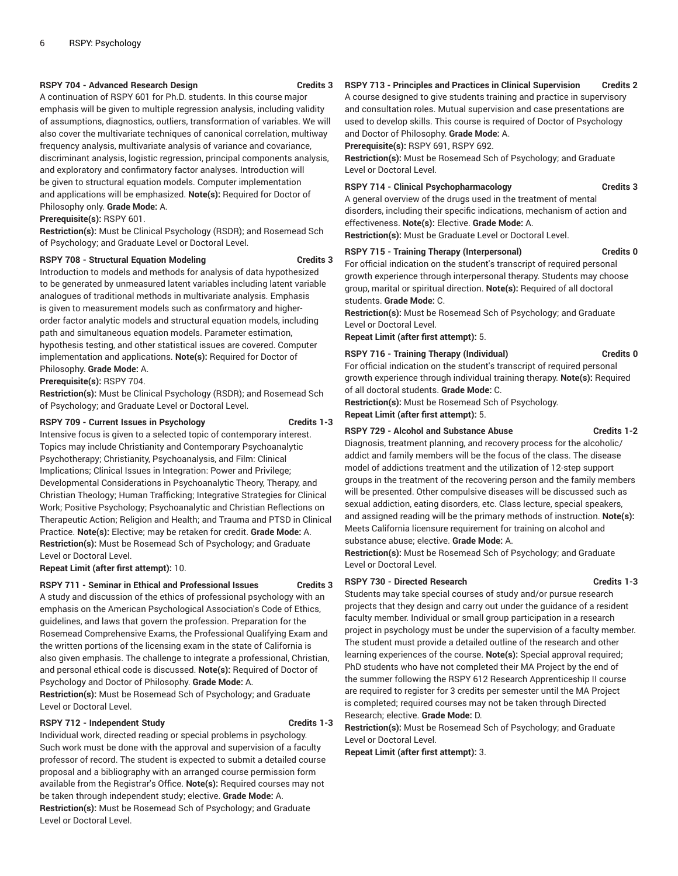#### **RSPY 704 - Advanced Research Design Credits 3**

A continuation of RSPY 601 for Ph.D. students. In this course major emphasis will be given to multiple regression analysis, including validity of assumptions, diagnostics, outliers, transformation of variables. We will also cover the multivariate techniques of canonical correlation, multiway frequency analysis, multivariate analysis of variance and covariance, discriminant analysis, logistic regression, principal components analysis, and exploratory and confirmatory factor analyses. Introduction will be given to structural equation models. Computer implementation and applications will be emphasized. **Note(s):** Required for Doctor of Philosophy only. **Grade Mode:** A.

**Prerequisite(s):** RSPY 601.

**Restriction(s):** Must be Clinical Psychology (RSDR); and Rosemead Sch of Psychology; and Graduate Level or Doctoral Level.

#### **RSPY 708 - Structural Equation Modeling Credits 3**

Introduction to models and methods for analysis of data hypothesized to be generated by unmeasured latent variables including latent variable analogues of traditional methods in multivariate analysis. Emphasis is given to measurement models such as confirmatory and higherorder factor analytic models and structural equation models, including path and simultaneous equation models. Parameter estimation, hypothesis testing, and other statistical issues are covered. Computer implementation and applications. **Note(s):** Required for Doctor of Philosophy. **Grade Mode:** A.

**Prerequisite(s):** RSPY 704.

**Restriction(s):** Must be Clinical Psychology (RSDR); and Rosemead Sch of Psychology; and Graduate Level or Doctoral Level.

#### **RSPY 709 - Current Issues in Psychology Credits 1-3**

Intensive focus is given to a selected topic of contemporary interest. Topics may include Christianity and Contemporary Psychoanalytic Psychotherapy; Christianity, Psychoanalysis, and Film: Clinical Implications; Clinical Issues in Integration: Power and Privilege; Developmental Considerations in Psychoanalytic Theory, Therapy, and Christian Theology; Human Trafficking; Integrative Strategies for Clinical Work; Positive Psychology; Psychoanalytic and Christian Reflections on Therapeutic Action; Religion and Health; and Trauma and PTSD in Clinical Practice. **Note(s):** Elective; may be retaken for credit. **Grade Mode:** A. **Restriction(s):** Must be Rosemead Sch of Psychology; and Graduate Level or Doctoral Level.

**Repeat Limit (after first attempt):** 10.

#### **RSPY 711 - Seminar in Ethical and Professional Issues Credits 3**

A study and discussion of the ethics of professional psychology with an emphasis on the American Psychological Association's Code of Ethics, guidelines, and laws that govern the profession. Preparation for the Rosemead Comprehensive Exams, the Professional Qualifying Exam and the written portions of the licensing exam in the state of California is also given emphasis. The challenge to integrate a professional, Christian, and personal ethical code is discussed. **Note(s):** Required of Doctor of Psychology and Doctor of Philosophy. **Grade Mode:** A.

**Restriction(s):** Must be Rosemead Sch of Psychology; and Graduate Level or Doctoral Level.

#### RSPY 712 - Independent Study **Credits 1-3**

Individual work, directed reading or special problems in psychology. Such work must be done with the approval and supervision of a faculty professor of record. The student is expected to submit a detailed course proposal and a bibliography with an arranged course permission form available from the Registrar's Office. **Note(s):** Required courses may not be taken through independent study; elective. **Grade Mode:** A. **Restriction(s):** Must be Rosemead Sch of Psychology; and Graduate Level or Doctoral Level.

#### **RSPY 713 - Principles and Practices in Clinical Supervision Credits 2**

A course designed to give students training and practice in supervisory and consultation roles. Mutual supervision and case presentations are used to develop skills. This course is required of Doctor of Psychology and Doctor of Philosophy. **Grade Mode:** A.

**Prerequisite(s):** RSPY 691, RSPY 692.

**Restriction(s):** Must be Rosemead Sch of Psychology; and Graduate Level or Doctoral Level.

#### **RSPY** 714 - Clinical Psychopharmacology **Credits 3**

A general overview of the drugs used in the treatment of mental disorders, including their specific indications, mechanism of action and effectiveness. **Note(s):** Elective. **Grade Mode:** A.

**Restriction(s):** Must be Graduate Level or Doctoral Level.

#### **RSPY 715 - Training Therapy (Interpersonal) Credits 0**

For official indication on the student's transcript of required personal growth experience through interpersonal therapy. Students may choose group, marital or spiritual direction. **Note(s):** Required of all doctoral students. **Grade Mode:** C.

**Restriction(s):** Must be Rosemead Sch of Psychology; and Graduate Level or Doctoral Level.

**Repeat Limit (after first attempt):** 5.

#### **RSPY 716 - Training Therapy (Individual) Credits 0**

For official indication on the student's transcript of required personal growth experience through individual training therapy. **Note(s):** Required of all doctoral students. **Grade Mode:** C.

**Restriction(s):** Must be Rosemead Sch of Psychology.

**Repeat Limit (after first attempt):** 5.

#### RSPY 729 - Alcohol and Substance Abuse **Fig. 2** Credits 1-2

Diagnosis, treatment planning, and recovery process for the alcoholic/ addict and family members will be the focus of the class. The disease model of addictions treatment and the utilization of 12-step support groups in the treatment of the recovering person and the family members will be presented. Other compulsive diseases will be discussed such as sexual addiction, eating disorders, etc. Class lecture, special speakers, and assigned reading will be the primary methods of instruction. **Note(s):** Meets California licensure requirement for training on alcohol and substance abuse; elective. **Grade Mode:** A.

**Restriction(s):** Must be Rosemead Sch of Psychology; and Graduate Level or Doctoral Level.

#### **RSPY 730 - Directed Research**  Credits 1-3

Students may take special courses of study and/or pursue research projects that they design and carry out under the guidance of a resident faculty member. Individual or small group participation in a research project in psychology must be under the supervision of a faculty member. The student must provide a detailed outline of the research and other learning experiences of the course. **Note(s):** Special approval required; PhD students who have not completed their MA Project by the end of the summer following the RSPY 612 Research Apprenticeship II course are required to register for 3 credits per semester until the MA Project is completed; required courses may not be taken through Directed Research; elective. **Grade Mode:** D.

**Restriction(s):** Must be Rosemead Sch of Psychology; and Graduate Level or Doctoral Level.

**Repeat Limit (after first attempt):** 3.